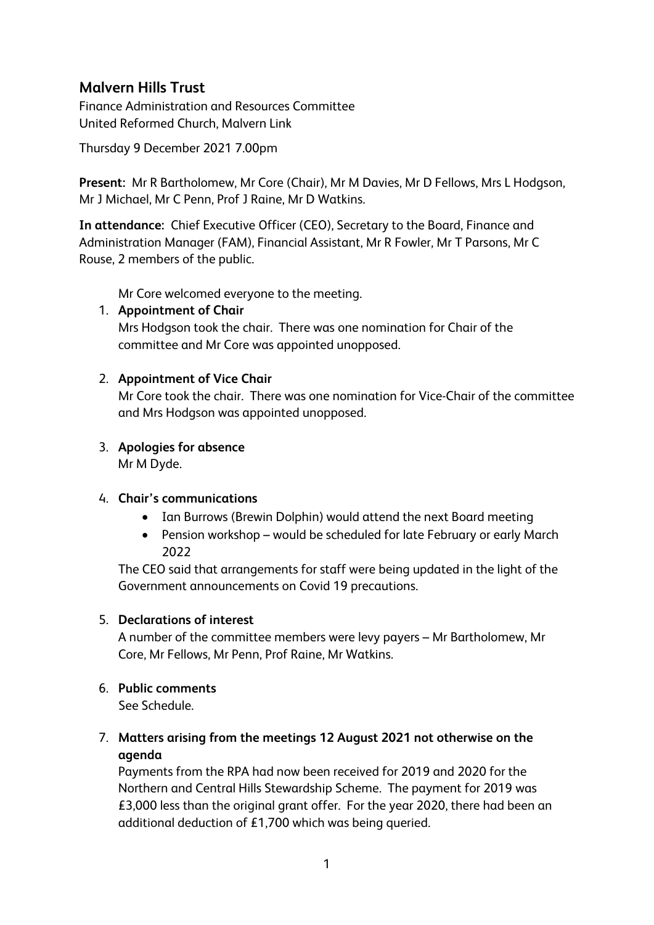# **Malvern Hills Trust**

Finance Administration and Resources Committee United Reformed Church, Malvern Link

Thursday 9 December 2021 7.00pm

**Present:** Mr R Bartholomew, Mr Core (Chair), Mr M Davies, Mr D Fellows, Mrs L Hodgson, Mr J Michael, Mr C Penn, Prof J Raine, Mr D Watkins.

**In attendance:** Chief Executive Officer (CEO), Secretary to the Board, Finance and Administration Manager (FAM), Financial Assistant, Mr R Fowler, Mr T Parsons, Mr C Rouse, 2 members of the public.

Mr Core welcomed everyone to the meeting.

## 1. **Appointment of Chair**

Mrs Hodgson took the chair. There was one nomination for Chair of the committee and Mr Core was appointed unopposed.

## 2. **Appointment of Vice Chair**

Mr Core took the chair. There was one nomination for Vice-Chair of the committee and Mrs Hodgson was appointed unopposed.

# 3. **Apologies for absence**

Mr M Dyde.

## 4. **Chair's communications**

- Ian Burrows (Brewin Dolphin) would attend the next Board meeting
- Pension workshop would be scheduled for late February or early March 2022

The CEO said that arrangements for staff were being updated in the light of the Government announcements on Covid 19 precautions.

## 5. **Declarations of interest**

A number of the committee members were levy payers – Mr Bartholomew, Mr Core, Mr Fellows, Mr Penn, Prof Raine, Mr Watkins.

## 6. **Public comments**

See Schedule.

7. **Matters arising from the meetings 12 August 2021 not otherwise on the agenda**

Payments from the RPA had now been received for 2019 and 2020 for the Northern and Central Hills Stewardship Scheme. The payment for 2019 was £3,000 less than the original grant offer. For the year 2020, there had been an additional deduction of £1,700 which was being queried.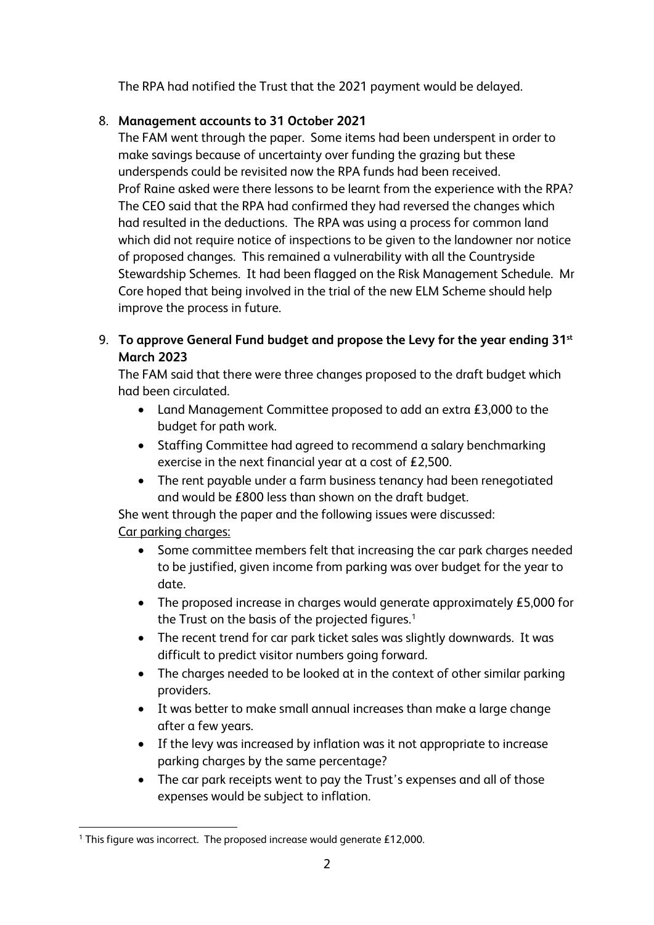The RPA had notified the Trust that the 2021 payment would be delayed.

# 8. **Management accounts to 31 October 2021**

The FAM went through the paper. Some items had been underspent in order to make savings because of uncertainty over funding the grazing but these underspends could be revisited now the RPA funds had been received. Prof Raine asked were there lessons to be learnt from the experience with the RPA? The CEO said that the RPA had confirmed they had reversed the changes which had resulted in the deductions. The RPA was using a process for common land which did not require notice of inspections to be given to the landowner nor notice of proposed changes. This remained a vulnerability with all the Countryside Stewardship Schemes. It had been flagged on the Risk Management Schedule. Mr Core hoped that being involved in the trial of the new ELM Scheme should help improve the process in future.

# 9. **To approve General Fund budget and propose the Levy for the year ending 31st March 2023**

The FAM said that there were three changes proposed to the draft budget which had been circulated.

- Land Management Committee proposed to add an extra £3,000 to the budget for path work.
- Staffing Committee had agreed to recommend a salary benchmarking exercise in the next financial year at a cost of £2,500.
- The rent payable under a farm business tenancy had been renegotiated and would be £800 less than shown on the draft budget.

She went through the paper and the following issues were discussed: Car parking charges:

- Some committee members felt that increasing the car park charges needed to be justified, given income from parking was over budget for the year to date.
- The proposed increase in charges would generate approximately £5,000 for the Trust on the basis of the projected figures.<sup>[1](#page-1-0)</sup>
- The recent trend for car park ticket sales was slightly downwards. It was difficult to predict visitor numbers going forward.
- The charges needed to be looked at in the context of other similar parking providers.
- It was better to make small annual increases than make a large change after a few years.
- If the levy was increased by inflation was it not appropriate to increase parking charges by the same percentage?
- The car park receipts went to pay the Trust's expenses and all of those expenses would be subject to inflation.

<span id="page-1-0"></span><sup>&</sup>lt;sup>1</sup> This figure was incorrect. The proposed increase would generate £12,000.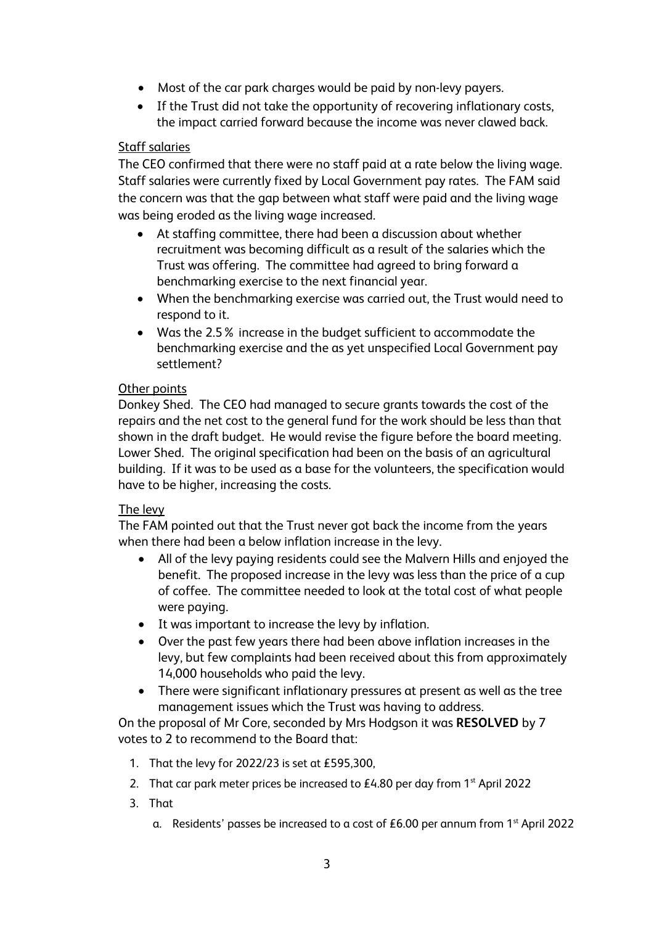- Most of the car park charges would be paid by non-levy payers.
- If the Trust did not take the opportunity of recovering inflationary costs, the impact carried forward because the income was never clawed back.

## Staff salaries

The CEO confirmed that there were no staff paid at a rate below the living wage. Staff salaries were currently fixed by Local Government pay rates. The FAM said the concern was that the gap between what staff were paid and the living wage was being eroded as the living wage increased.

- At staffing committee, there had been a discussion about whether recruitment was becoming difficult as a result of the salaries which the Trust was offering. The committee had agreed to bring forward a benchmarking exercise to the next financial year.
- When the benchmarking exercise was carried out, the Trust would need to respond to it.
- Was the 2.5% increase in the budget sufficient to accommodate the benchmarking exercise and the as yet unspecified Local Government pay settlement?

## Other points

Donkey Shed. The CEO had managed to secure grants towards the cost of the repairs and the net cost to the general fund for the work should be less than that shown in the draft budget. He would revise the figure before the board meeting. Lower Shed. The original specification had been on the basis of an agricultural building. If it was to be used as a base for the volunteers, the specification would have to be higher, increasing the costs.

## The levy

The FAM pointed out that the Trust never got back the income from the years when there had been a below inflation increase in the levy.

- All of the levy paying residents could see the Malvern Hills and enjoyed the benefit. The proposed increase in the levy was less than the price of a cup of coffee. The committee needed to look at the total cost of what people were paying.
- It was important to increase the levy by inflation.
- Over the past few years there had been above inflation increases in the levy, but few complaints had been received about this from approximately 14,000 households who paid the levy.
- There were significant inflationary pressures at present as well as the tree management issues which the Trust was having to address.

On the proposal of Mr Core, seconded by Mrs Hodgson it was **RESOLVED** by 7 votes to 2 to recommend to the Board that:

- 1. That the levy for 2022/23 is set at £595,300,
- 2. That car park meter prices be increased to  $£4.80$  per day from  $1<sup>st</sup>$  April 2022
- 3. That
	- a. Residents' passes be increased to a cost of £6.00 per annum from 1<sup>st</sup> April 2022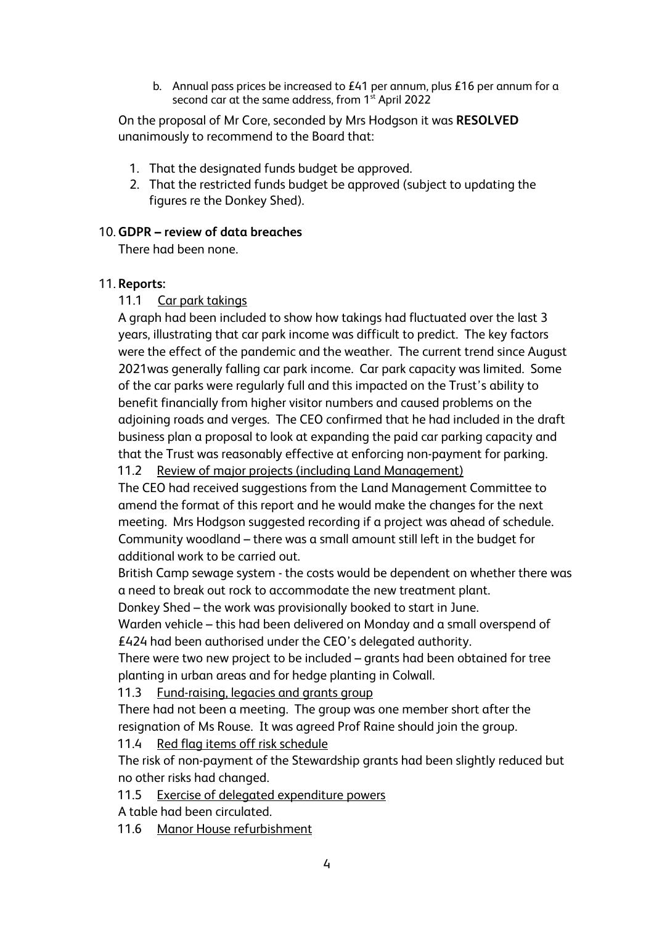b. Annual pass prices be increased to £41 per annum, plus £16 per annum for a second car at the same address, from 1<sup>st</sup> April 2022

On the proposal of Mr Core, seconded by Mrs Hodgson it was **RESOLVED**  unanimously to recommend to the Board that:

- 1. That the designated funds budget be approved.
- 2. That the restricted funds budget be approved (subject to updating the figures re the Donkey Shed).

## 10. **GDPR – review of data breaches**

There had been none.

## 11. **Reports:**

11.1 Car park takings

A graph had been included to show how takings had fluctuated over the last 3 years, illustrating that car park income was difficult to predict. The key factors were the effect of the pandemic and the weather. The current trend since August 2021was generally falling car park income. Car park capacity was limited. Some of the car parks were regularly full and this impacted on the Trust's ability to benefit financially from higher visitor numbers and caused problems on the adjoining roads and verges. The CEO confirmed that he had included in the draft business plan a proposal to look at expanding the paid car parking capacity and that the Trust was reasonably effective at enforcing non-payment for parking.

11.2 Review of major projects (including Land Management)

The CEO had received suggestions from the Land Management Committee to amend the format of this report and he would make the changes for the next meeting. Mrs Hodgson suggested recording if a project was ahead of schedule. Community woodland – there was a small amount still left in the budget for additional work to be carried out.

British Camp sewage system - the costs would be dependent on whether there was a need to break out rock to accommodate the new treatment plant.

Donkey Shed – the work was provisionally booked to start in June.

Warden vehicle – this had been delivered on Monday and a small overspend of £424 had been authorised under the CEO's delegated authority.

There were two new project to be included – grants had been obtained for tree planting in urban areas and for hedge planting in Colwall.

11.3 Fund-raising, legacies and grants group

There had not been a meeting. The group was one member short after the resignation of Ms Rouse. It was agreed Prof Raine should join the group.

11.4 Red flag items off risk schedule

The risk of non-payment of the Stewardship grants had been slightly reduced but no other risks had changed.

11.5 Exercise of delegated expenditure powers

A table had been circulated.

11.6 Manor House refurbishment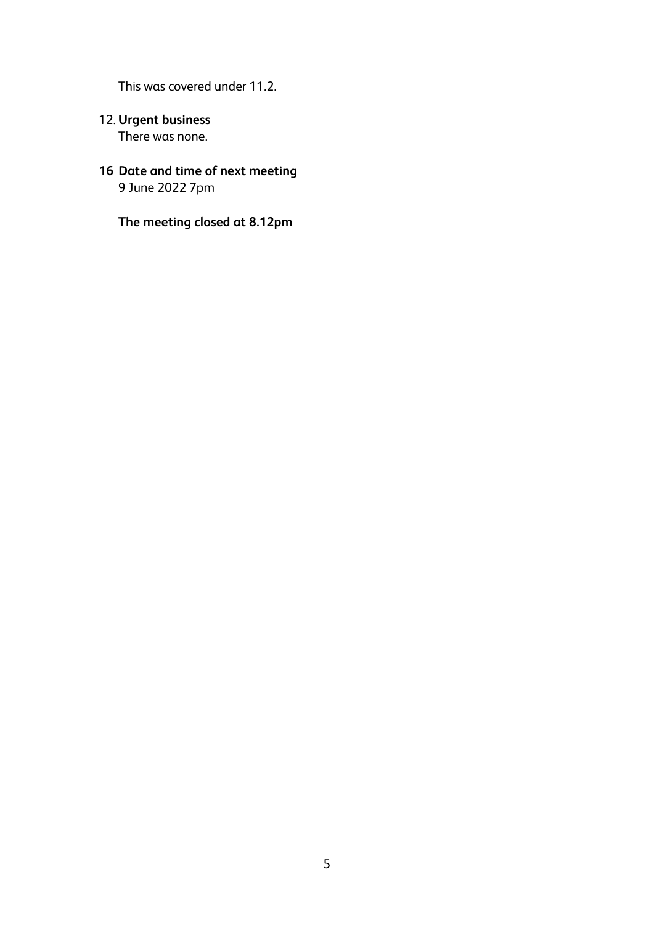This was covered under 11.2.

- 12. **Urgent business** There was none.
- **16 Date and time of next meeting**  9 June 2022 7pm

**The meeting closed at 8.12pm**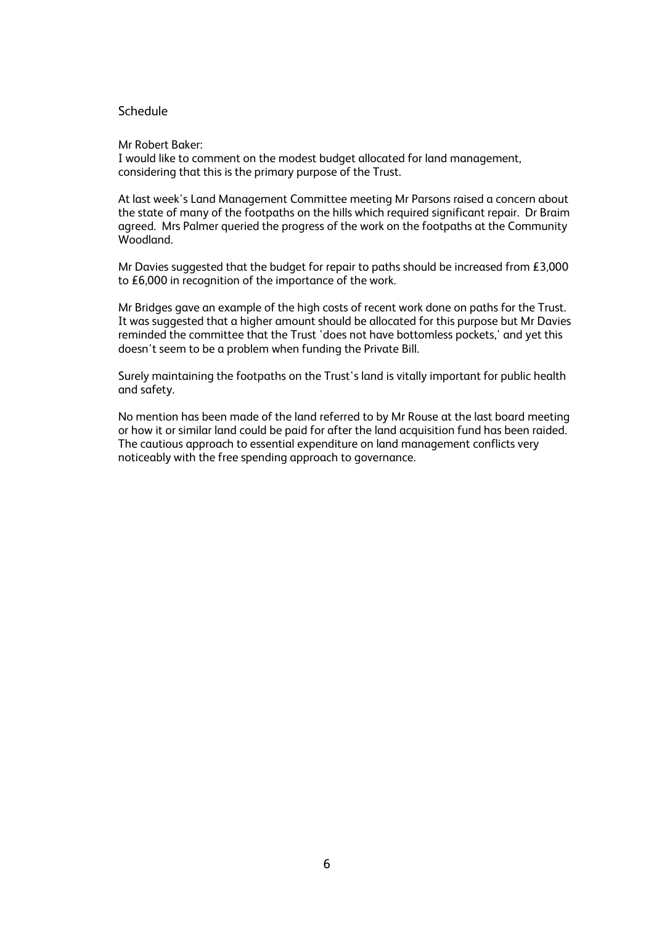#### **Schedule**

#### Mr Robert Baker:

I would like to comment on the modest budget allocated for land management, considering that this is the primary purpose of the Trust.

At last week's Land Management Committee meeting Mr Parsons raised a concern about the state of many of the footpaths on the hills which required significant repair. Dr Braim agreed. Mrs Palmer queried the progress of the work on the footpaths at the Community Woodland.

Mr Davies suggested that the budget for repair to paths should be increased from £3,000 to £6,000 in recognition of the importance of the work.

Mr Bridges gave an example of the high costs of recent work done on paths for the Trust. It was suggested that a higher amount should be allocated for this purpose but Mr Davies reminded the committee that the Trust 'does not have bottomless pockets,' and yet this doesn't seem to be a problem when funding the Private Bill.

Surely maintaining the footpaths on the Trust's land is vitally important for public health and safety.

No mention has been made of the land referred to by Mr Rouse at the last board meeting or how it or similar land could be paid for after the land acquisition fund has been raided. The cautious approach to essential expenditure on land management conflicts very noticeably with the free spending approach to governance.